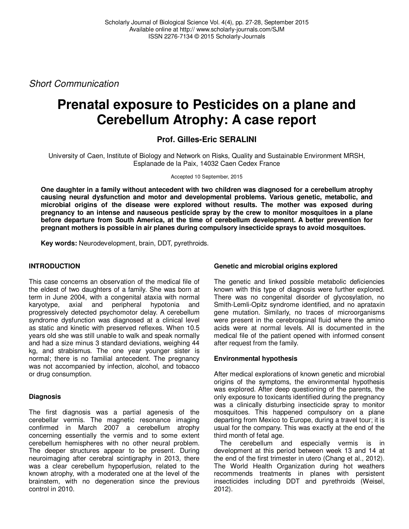Short Communication

# **Prenatal exposure to Pesticides on a plane and Cerebellum Atrophy: A case report**

## **Prof. Gilles-Eric SERALINI**

University of Caen, Institute of Biology and Network on Risks, Quality and Sustainable Environment MRSH, Esplanade de la Paix, 14032 Caen Cedex France

#### Accepted 10 September, 2015

**One daughter in a family without antecedent with two children was diagnosed for a cerebellum atrophy causing neural dysfunction and motor and developmental problems. Various genetic, metabolic, and microbial origins of the disease were explored without results. The mother was exposed during pregnancy to an intense and nauseous pesticide spray by the crew to monitor mosquitoes in a plane before departure from South America, at the time of cerebellum development. A better prevention for pregnant mothers is possible in air planes during compulsory insecticide sprays to avoid mosquitoes.** 

**Key words:** Neurodevelopment, brain, DDT, pyrethroids.

## **INTRODUCTION**

This case concerns an observation of the medical file of the eldest of two daughters of a family. She was born at term in June 2004, with a congenital ataxia with normal karyotype, axial and peripheral hypotonia and progressively detected psychomotor delay. A cerebellum syndrome dysfunction was diagnosed at a clinical level as static and kinetic with preserved reflexes. When 10.5 years old she was still unable to walk and speak normally and had a size minus 3 standard deviations, weighing 44 kg, and strabismus. The one year younger sister is normal; there is no familial antecedent. The pregnancy was not accompanied by infection, alcohol, and tobacco or drug consumption.

## **Diagnosis**

The first diagnosis was a partial agenesis of the cerebellar vermis. The magnetic resonance imaging confirmed in March 2007 a cerebellum atrophy concerning essentially the vermis and to some extent cerebellum hemispheres with no other neural problem. The deeper structures appear to be present. During neuroimaging after cerebral scintigraphy in 2013, there was a clear cerebellum hypoperfusion, related to the known atrophy, with a moderated one at the level of the brainstem, with no degeneration since the previous control in 2010.

## **Genetic and microbial origins explored**

The genetic and linked possible metabolic deficiencies known with this type of diagnosis were further explored. There was no congenital disorder of glycosylation, no Smith-Lemli-Opitz syndrome identified, and no aprataxin gene mutation. Similarly, no traces of microorganisms were present in the cerebrospinal fluid where the amino acids were at normal levels. All is documented in the medical file of the patient opened with informed consent after request from the family.

## **Environmental hypothesis**

After medical explorations of known genetic and microbial origins of the symptoms, the environmental hypothesis was explored. After deep questioning of the parents, the only exposure to toxicants identified during the pregnancy was a clinically disturbing insecticide spray to monitor mosquitoes. This happened compulsory on a plane departing from Mexico to Europe, during a travel tour; it is usual for the company. This was exactly at the end of the third month of fetal age.

The cerebellum and especially vermis is in development at this period between week 13 and 14 at the end of the first trimester in utero (Chang et al., 2012). The World Health Organization during hot weathers recommends treatments in planes with persistent insecticides including DDT and pyrethroids (Weisel, 2012).